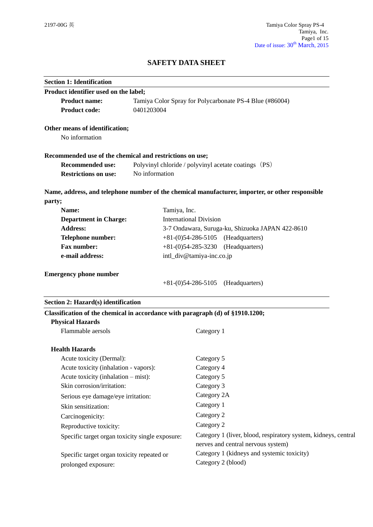# **SAFETY DATA SHEET**

| <b>Section 1: Identification</b>                                               |                                                      |                                                                                                  |
|--------------------------------------------------------------------------------|------------------------------------------------------|--------------------------------------------------------------------------------------------------|
| Product identifier used on the label;                                          |                                                      |                                                                                                  |
| <b>Product name:</b>                                                           |                                                      | Tamiya Color Spray for Polycarbonate PS-4 Blue (#86004)                                          |
| <b>Product code:</b>                                                           | 0401203004                                           |                                                                                                  |
| Other means of identification;                                                 |                                                      |                                                                                                  |
| No information                                                                 |                                                      |                                                                                                  |
| Recommended use of the chemical and restrictions on use;                       |                                                      |                                                                                                  |
| <b>Recommended use:</b>                                                        | Polyvinyl chloride / polyvinyl acetate coatings (PS) |                                                                                                  |
| <b>Restrictions on use:</b>                                                    | No information                                       |                                                                                                  |
|                                                                                |                                                      | Name, address, and telephone number of the chemical manufacturer, importer, or other responsible |
| party;                                                                         |                                                      |                                                                                                  |
| Name:                                                                          | Tamiya, Inc.                                         |                                                                                                  |
| <b>Department in Charge:</b>                                                   |                                                      | <b>International Division</b>                                                                    |
| <b>Address:</b>                                                                |                                                      | 3-7 Ondawara, Suruga-ku, Shizuoka JAPAN 422-8610                                                 |
| Telephone number:                                                              |                                                      | $+81-(0)54-286-5105$ (Headquarters)                                                              |
| <b>Fax number:</b>                                                             |                                                      | $+81-(0)54-285-3230$<br>(Headquarters)                                                           |
| e-mail address:                                                                |                                                      | intl_div@tamiya-inc.co.jp                                                                        |
| <b>Emergency phone number</b>                                                  |                                                      |                                                                                                  |
|                                                                                |                                                      | $+81-(0)54-286-5105$ (Headquarters)                                                              |
| Section 2: Hazard(s) identification                                            |                                                      |                                                                                                  |
| Classification of the chemical in accordance with paragraph (d) of §1910.1200; |                                                      |                                                                                                  |
| <b>Physical Hazards</b>                                                        |                                                      |                                                                                                  |
| Flammable aersols                                                              |                                                      | Category 1                                                                                       |
| <b>Health Hazards</b>                                                          |                                                      |                                                                                                  |
| Acute toxicity (Dermal):                                                       |                                                      | Category 5                                                                                       |
| Acute toxicity (inhalation - vapors):                                          |                                                      | Category 4                                                                                       |
| Acute toxicity (inhalation – mist):                                            |                                                      | Category 5                                                                                       |
| Skin corrosion/irritation:                                                     |                                                      | Category 3                                                                                       |
| Serious eye damage/eye irritation:                                             |                                                      | Category 2A                                                                                      |
| Skin sensitization:                                                            |                                                      | Category 1                                                                                       |
| Carcinogenicity:                                                               |                                                      | Category 2                                                                                       |
| Reproductive toxicity:                                                         |                                                      | Category 2                                                                                       |
| Specific target organ toxicity single exposure:                                |                                                      | Category 1 (liver, blood, respiratory system, kidneys, central                                   |
|                                                                                |                                                      | nerves and central nervous system)                                                               |
| Specific target organ toxicity repeated or                                     |                                                      | Category 1 (kidneys and systemic toxicity)                                                       |
| prolonged exposure:                                                            |                                                      | Category 2 (blood)                                                                               |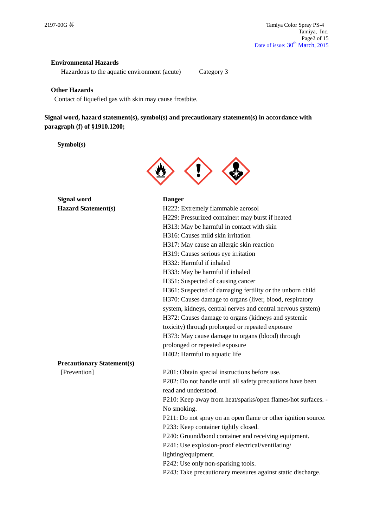## **Environmental Hazards**

Hazardous to the aquatic environment (acute) Category 3

## **Other Hazards**

Contact of liquefied gas with skin may cause frostbite.

# **Signal word, hazard statement(s), symbol(s) and precautionary statement(s) in accordance with paragraph (f) of §1910.1200;**

## **Symbol(s)**



**Signal word Danger Hazard St** 

| <b>Hazard Statement(s)</b>        | H222: Extremely flammable aerosol                             |
|-----------------------------------|---------------------------------------------------------------|
|                                   | H229: Pressurized container: may burst if heated              |
|                                   | H313: May be harmful in contact with skin                     |
|                                   | H316: Causes mild skin irritation                             |
|                                   | H317: May cause an allergic skin reaction                     |
|                                   | H319: Causes serious eye irritation                           |
|                                   | H332: Harmful if inhaled                                      |
|                                   | H333: May be harmful if inhaled                               |
|                                   | H351: Suspected of causing cancer                             |
|                                   | H361: Suspected of damaging fertility or the unborn child     |
|                                   | H370: Causes damage to organs (liver, blood, respiratory      |
|                                   | system, kidneys, central nerves and central nervous system)   |
|                                   | H372: Causes damage to organs (kidneys and systemic           |
|                                   | toxicity) through prolonged or repeated exposure              |
|                                   | H373: May cause damage to organs (blood) through              |
|                                   | prolonged or repeated exposure                                |
|                                   | H402: Harmful to aquatic life                                 |
| <b>Precautionary Statement(s)</b> |                                                               |
| [Prevention]                      | P201: Obtain special instructions before use.                 |
|                                   | P202: Do not handle until all safety precautions have been    |
|                                   | read and understood.                                          |
|                                   | P210: Keep away from heat/sparks/open flames/hot surfaces. -  |
|                                   | No smoking.                                                   |
|                                   | P211: Do not spray on an open flame or other ignition source. |
|                                   | P233: Keep container tightly closed.                          |
|                                   | P240: Ground/bond container and receiving equipment.          |
|                                   | P241: Use explosion-proof electrical/ventilating/             |
|                                   | lighting/equipment.                                           |
|                                   | P242: Use only non-sparking tools.                            |
|                                   | P243: Take precautionary measures against static discharge.   |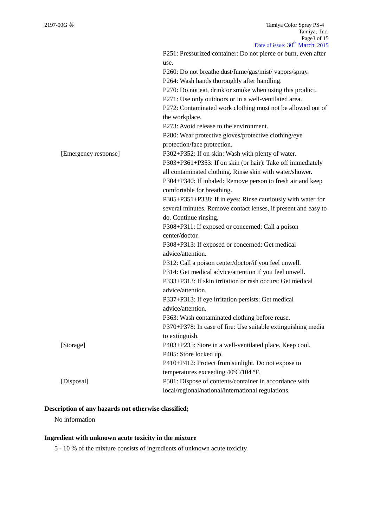|                      | Date of $1880c$ , $30$ March, $2013$                           |
|----------------------|----------------------------------------------------------------|
|                      | P251: Pressurized container: Do not pierce or burn, even after |
|                      | use.                                                           |
|                      | P260: Do not breathe dust/fume/gas/mist/ vapors/spray.         |
|                      | P264: Wash hands thoroughly after handling.                    |
|                      | P270: Do not eat, drink or smoke when using this product.      |
|                      | P271: Use only outdoors or in a well-ventilated area.          |
|                      | P272: Contaminated work clothing must not be allowed out of    |
|                      | the workplace.                                                 |
|                      | P273: Avoid release to the environment.                        |
|                      | P280: Wear protective gloves/protective clothing/eye           |
|                      | protection/face protection.                                    |
| [Emergency response] | P302+P352: If on skin: Wash with plenty of water.              |
|                      | P303+P361+P353: If on skin (or hair): Take off immediately     |
|                      | all contaminated clothing. Rinse skin with water/shower.       |
|                      | P304+P340: If inhaled: Remove person to fresh air and keep     |
|                      | comfortable for breathing.                                     |
|                      | P305+P351+P338: If in eyes: Rinse cautiously with water for    |
|                      | several minutes. Remove contact lenses, if present and easy to |
|                      | do. Continue rinsing.                                          |
|                      | P308+P311: If exposed or concerned: Call a poison              |
|                      | center/doctor.                                                 |
|                      | P308+P313: If exposed or concerned: Get medical                |
|                      | advice/attention.                                              |
|                      | P312: Call a poison center/doctor/if you feel unwell.          |
|                      | P314: Get medical advice/attention if you feel unwell.         |
|                      | P333+P313: If skin irritation or rash occurs: Get medical      |
|                      | advice/attention.                                              |
|                      | P337+P313: If eye irritation persists: Get medical             |
|                      | advice/attention.                                              |
|                      | P363: Wash contaminated clothing before reuse.                 |
|                      |                                                                |
|                      | P370+P378: In case of fire: Use suitable extinguishing media   |
|                      | to extinguish.                                                 |
| [Storage]            | P403+P235: Store in a well-ventilated place. Keep cool.        |
|                      | P405: Store locked up.                                         |
|                      | P410+P412: Protect from sunlight. Do not expose to             |
|                      | temperatures exceeding 40°C/104 °F.                            |
| [Disposal]           | P501: Dispose of contents/container in accordance with         |
|                      | local/regional/national/international regulations.             |

## **Description of any hazards not otherwise classified;**

No information

# **Ingredient with unknown acute toxicity in the mixture**

5 - 10 % of the mixture consists of ingredients of unknown acute toxicity.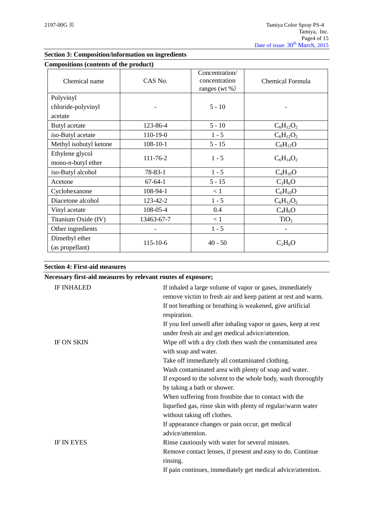| Compositions (contents of the product)         |                |                                                      |                  |
|------------------------------------------------|----------------|------------------------------------------------------|------------------|
| Chemical name                                  | CAS No.        | Concentration/<br>concentration<br>ranges (wt $\%$ ) | Chemical Formula |
| Polyvinyl                                      |                |                                                      |                  |
| chloride-polyvinyl                             |                | $5 - 10$                                             |                  |
| acetate                                        |                |                                                      |                  |
| Butyl acetate                                  | 123-86-4       | $5 - 10$                                             | $C_6H_{12}O_2$   |
| iso-Butyl acetate                              | 110-19-0       | $1 - 5$                                              | $C_6H_{12}O_2$   |
| Methyl isobutyl ketone                         | $108 - 10 - 1$ | $5 - 15$                                             | $C_6H_{12}O$     |
| Ethylene glycol<br>mono- <i>n</i> -butyl ether | 111-76-2       | $1 - 5$                                              | $C_6H_{14}O_2$   |
| iso-Butyl alcohol                              | $78 - 83 - 1$  | $1 - 5$                                              | $C_4H_{10}O$     |
| Acetone                                        | $67-64-1$      | $5 - 15$                                             | $C_3H_6O$        |
| Cyclohexanone                                  | 108-94-1       | < 1                                                  | $C_6H_{10}O$     |
| Diacetone alcohol                              | 123-42-2       | $1 - 5$                                              | $C_6H_{12}O_2$   |
| Vinyl acetate                                  | 108-05-4       | 0.4                                                  | $C_4H_6O$        |
| Titanium Oxide (IV)                            | 13463-67-7     | < 1                                                  | TiO <sub>2</sub> |
| Other ingredients                              |                | $1 - 5$                                              |                  |
| Dimethyl ether<br>(as propellant)              | 115-10-6       | $40 - 50$                                            | $C_2H_6O$        |

## **Section 3: Composition/information on ingredients**

|  | <b>Section 4: First-aid measures</b> |
|--|--------------------------------------|
|  |                                      |

|                   | Necessary first-aid measures by relevant routes of exposure;                                                              |
|-------------------|---------------------------------------------------------------------------------------------------------------------------|
| <b>IF INHALED</b> | If inhaled a large volume of vapor or gases, immediately<br>remove victim to fresh air and keep patient at rest and warm. |
|                   | If not breathing or breathing is weakened, give artificial<br>respiration.                                                |
|                   | If you feel unwell after inhaling vapor or gases, keep at rest<br>under fresh air and get medical advice/attention.       |
| <b>IF ON SKIN</b> | Wipe off with a dry cloth then wash the contaminated area<br>with soap and water.                                         |
|                   | Take off immediately all contaminated clothing.                                                                           |
|                   | Wash contaminated area with plenty of soap and water.                                                                     |
|                   | If exposed to the solvent to the whole body, wash thoroughly                                                              |
|                   | by taking a bath or shower.                                                                                               |
|                   | When suffering from frostbite due to contact with the                                                                     |
|                   | liquefied gas, rinse skin with plenty of regular/warm water<br>without taking off clothes.                                |
|                   | If appearance changes or pain occur, get medical                                                                          |
|                   | advice/attention.                                                                                                         |
| <b>IF IN EYES</b> | Rinse cautiously with water for several minutes.                                                                          |
|                   | Remove contact lenses, if present and easy to do. Continue<br>rinsing.                                                    |
|                   | If pain continues, immediately get medical advice/attention.                                                              |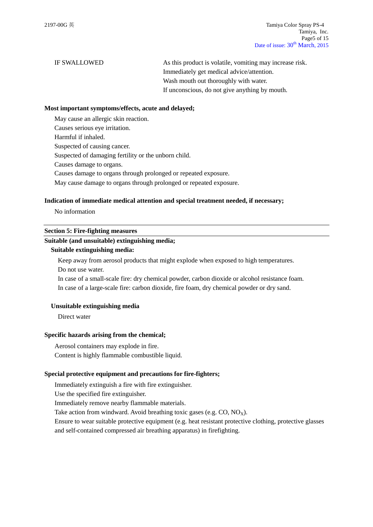IF SWALLOWED As this product is volatile, vomiting may increase risk. Immediately get medical advice/attention. Wash mouth out thoroughly with water. If unconscious, do not give anything by mouth.

#### **Most important symptoms/effects, acute and delayed;**

May cause an allergic skin reaction.

Causes serious eye irritation.

Harmful if inhaled.

Suspected of causing cancer.

Suspected of damaging fertility or the unborn child.

Causes damage to organs.

Causes damage to organs through prolonged or repeated exposure.

May cause damage to organs through prolonged or repeated exposure.

#### **Indication of immediate medical attention and special treatment needed, if necessary;**

No information

## **Section 5: Fire-fighting measures**

#### **Suitable (and unsuitable) extinguishing media;**

#### **Suitable extinguishing media:**

Keep away from aerosol products that might explode when exposed to high temperatures. Do not use water.

In case of a small-scale fire: dry chemical powder, carbon dioxide or alcohol resistance foam. In case of a large-scale fire: carbon dioxide, fire foam, dry chemical powder or dry sand.

#### **Unsuitable extinguishing media**

Direct water

#### **Specific hazards arising from the chemical;**

Aerosol containers may explode in fire. Content is highly flammable combustible liquid.

## **Special protective equipment and precautions for fire-fighters;**

Immediately extinguish a fire with fire extinguisher.

Use the specified fire extinguisher.

Immediately remove nearby flammable materials.

Take action from windward. Avoid breathing toxic gases (e.g.  $CO$ ,  $NO<sub>x</sub>$ ).

Ensure to wear suitable protective equipment (e.g. heat resistant protective clothing, protective glasses and self-contained compressed air breathing apparatus) in firefighting.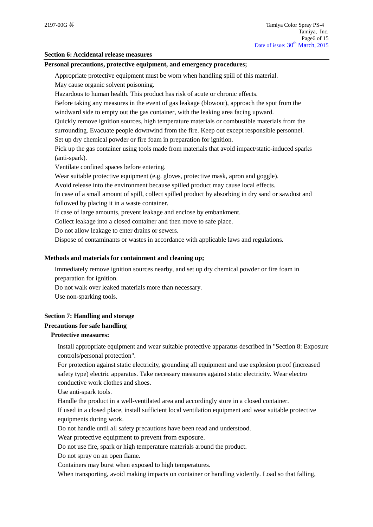### **Section 6: Accidental release measures**

#### **Personal precautions, protective equipment, and emergency procedures;**

Appropriate protective equipment must be worn when handling spill of this material.

May cause organic solvent poisoning.

Hazardous to human health. This product has risk of acute or chronic effects.

Before taking any measures in the event of gas leakage (blowout), approach the spot from the windward side to empty out the gas container, with the leaking area facing upward.

Quickly remove ignition sources, high temperature materials or combustible materials from the surrounding. Evacuate people downwind from the fire. Keep out except responsible personnel.

Set up dry chemical powder or fire foam in preparation for ignition.

Pick up the gas container using tools made from materials that avoid impact/static-induced sparks (anti-spark).

Ventilate confined spaces before entering.

Wear suitable protective equipment (e.g. gloves, protective mask, apron and goggle).

Avoid release into the environment because spilled product may cause local effects.

In case of a small amount of spill, collect spilled product by absorbing in dry sand or sawdust and followed by placing it in a waste container.

If case of large amounts, prevent leakage and enclose by embankment.

Collect leakage into a closed container and then move to safe place.

Do not allow leakage to enter drains or sewers.

Dispose of contaminants or wastes in accordance with applicable laws and regulations.

## **Methods and materials for containment and cleaning up;**

Immediately remove ignition sources nearby, and set up dry chemical powder or fire foam in preparation for ignition.

Do not walk over leaked materials more than necessary.

Use non-sparking tools.

#### **Section 7: Handling and storage**

## **Precautions for safe handling**

# **Protective measures:**

Install appropriate equipment and wear suitable protective apparatus described in "Section 8: Exposure controls/personal protection".

For protection against static electricity, grounding all equipment and use explosion proof (increased safety type) electric apparatus. Take necessary measures against static electricity. Wear electro conductive work clothes and shoes.

Use anti-spark tools.

Handle the product in a well-ventilated area and accordingly store in a closed container.

If used in a closed place, install sufficient local ventilation equipment and wear suitable protective equipments during work.

Do not handle until all safety precautions have been read and understood.

Wear protective equipment to prevent from exposure.

Do not use fire, spark or high temperature materials around the product.

Do not spray on an open flame.

Containers may burst when exposed to high temperatures.

When transporting, avoid making impacts on container or handling violently. Load so that falling,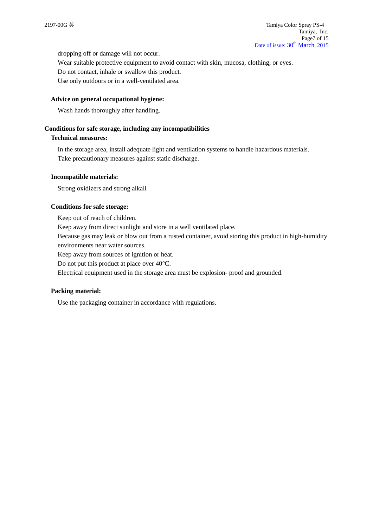dropping off or damage will not occur.

Wear suitable protective equipment to avoid contact with skin, mucosa, clothing, or eyes. Do not contact, inhale or swallow this product.

Use only outdoors or in a well-ventilated area.

## **Advice on general occupational hygiene:**

Wash hands thoroughly after handling.

## **Conditions for safe storage, including any incompatibilities**

## **Technical measures:**

In the storage area, install adequate light and ventilation systems to handle hazardous materials. Take precautionary measures against static discharge.

## **Incompatible materials:**

Strong oxidizers and strong alkali

## **Conditions for safe storage:**

Keep out of reach of children. Keep away from direct sunlight and store in a well ventilated place. Because gas may leak or blow out from a rusted container, avoid storing this product in high-humidity environments near water sources.

Keep away from sources of ignition or heat.

Do not put this product at place over 40°C.

Electrical equipment used in the storage area must be explosion- proof and grounded.

## **Packing material:**

Use the packaging container in accordance with regulations.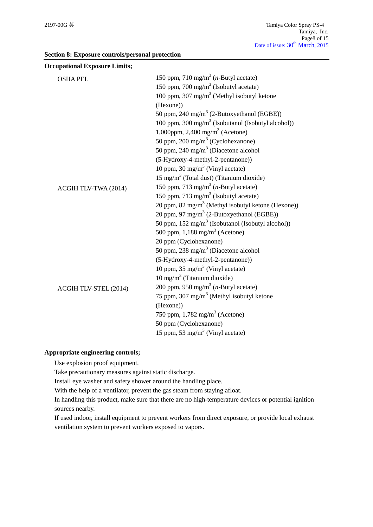| Section 8: Exposure controls/personal protection |  |  |
|--------------------------------------------------|--|--|
|                                                  |  |  |

| <b>Occupational Exposure Limits;</b> |                                                                |
|--------------------------------------|----------------------------------------------------------------|
| <b>OSHA PEL</b>                      | 150 ppm, 710 mg/m <sup>3</sup> ( <i>n</i> -Butyl acetate)      |
|                                      | 150 ppm, 700 mg/m <sup>3</sup> (Isobutyl acetate)              |
|                                      | 100 ppm, 307 mg/m <sup>3</sup> (Methyl isobutyl ketone         |
|                                      | (Hexone))                                                      |
|                                      | 50 ppm, 240 mg/m <sup>3</sup> (2-Butoxyethanol (EGBE))         |
|                                      | 100 ppm, 300 mg/m <sup>3</sup> (Isobutanol (Isobutyl alcohol)) |
|                                      | 1,000ppm, 2,400 mg/m <sup>3</sup> (Acetone)                    |
|                                      | 50 ppm, 200 mg/m <sup>3</sup> (Cyclohexanone)                  |
|                                      | 50 ppm, 240 mg/m <sup>3</sup> (Diacetone alcohol               |
|                                      | (5-Hydroxy-4-methyl-2-pentanone))                              |
|                                      | 10 ppm, 30 mg/m <sup>3</sup> (Vinyl acetate)                   |
|                                      | $15 \text{ mg/m}^3$ (Total dust) (Titanium dioxide)            |
| ACGIH TLV-TWA (2014)                 | 150 ppm, 713 mg/m <sup>3</sup> ( <i>n</i> -Butyl acetate)      |
|                                      | 150 ppm, 713 mg/m <sup>3</sup> (Isobutyl acetate)              |
|                                      | 20 ppm, 82 mg/m <sup>3</sup> (Methyl isobutyl ketone (Hexone)) |
|                                      | 20 ppm, 97 mg/m <sup>3</sup> (2-Butoxyethanol (EGBE))          |
|                                      | 50 ppm, 152 mg/m <sup>3</sup> (Isobutanol (Isobutyl alcohol))  |
|                                      | 500 ppm, $1,188$ mg/m <sup>3</sup> (Acetone)                   |
|                                      | 20 ppm (Cyclohexanone)                                         |
|                                      | 50 ppm, 238 mg/m <sup>3</sup> (Diacetone alcohol               |
|                                      | (5-Hydroxy-4-methyl-2-pentanone))                              |
|                                      | 10 ppm, $35 \text{ mg/m}^3$ (Vinyl acetate)                    |
|                                      | $10 \text{ mg/m}^3$ (Titanium dioxide)                         |
| ACGIH TLV-STEL (2014)                | 200 ppm, 950 mg/m <sup>3</sup> ( <i>n</i> -Butyl acetate)      |
|                                      | 75 ppm, 307 mg/m <sup>3</sup> (Methyl isobutyl ketone          |
|                                      | (Hexone))                                                      |
|                                      | 750 ppm, 1,782 mg/m <sup>3</sup> (Acetone)                     |
|                                      | 50 ppm (Cyclohexanone)                                         |
|                                      | 15 ppm, 53 mg/m <sup>3</sup> (Vinyl acetate)                   |

## **Appropriate engineering controls;**

Use explosion proof equipment.

Take precautionary measures against static discharge.

Install eye washer and safety shower around the handling place.

With the help of a ventilator, prevent the gas steam from staying afloat.

In handling this product, make sure that there are no high-temperature devices or potential ignition sources nearby.

If used indoor, install equipment to prevent workers from direct exposure, or provide local exhaust ventilation system to prevent workers exposed to vapors.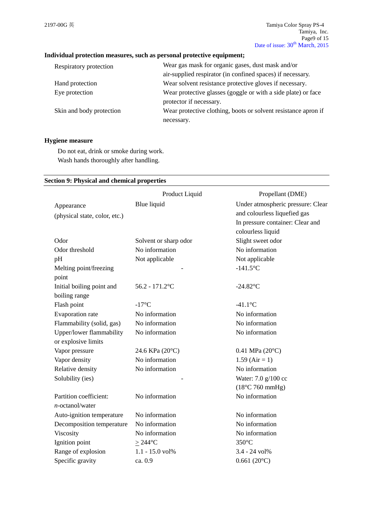## **Individual protection measures, such as personal protective equipment;**

| Wear gas mask for organic gases, dust mask and/or              |
|----------------------------------------------------------------|
| air-supplied respirator (in confined spaces) if necessary.     |
| Wear solvent resistance protective gloves if necessary.        |
| Wear protective glasses (goggle or with a side plate) or face  |
| protector if necessary.                                        |
| Wear protective clothing, boots or solvent resistance apron if |
| necessary.                                                     |
|                                                                |

## **Hygiene measure**

Do not eat, drink or smoke during work. Wash hands thoroughly after handling.

## **Section 9: Physical and chemical properties**

|                               | Product Liquid        | Propellant (DME)                  |
|-------------------------------|-----------------------|-----------------------------------|
| Appearance                    | Blue liquid           | Under atmospheric pressure: Clear |
| (physical state, color, etc.) |                       | and colourless liquefied gas      |
|                               |                       | In pressure container: Clear and  |
|                               |                       | colourless liquid                 |
| Odor                          | Solvent or sharp odor | Slight sweet odor                 |
| Odor threshold                | No information        | No information                    |
| pH                            | Not applicable        | Not applicable                    |
| Melting point/freezing        |                       | $-141.5$ °C                       |
| point                         |                       |                                   |
| Initial boiling point and     | $56.2 - 171.2$ °C     | $-24.82$ °C                       |
| boiling range                 |                       |                                   |
| Flash point                   | $-17^{\circ}C$        | $-41.1$ °C                        |
| Evaporation rate              | No information        | No information                    |
| Flammability (solid, gas)     | No information        | No information                    |
| Upper/lower flammability      | No information        | No information                    |
| or explosive limits           |                       |                                   |
| Vapor pressure                | 24.6 KPa (20°C)       | $0.41$ MPa $(20^{\circ}C)$        |
| Vapor density                 | No information        | $1.59$ (Air = 1)                  |
| Relative density              | No information        | No information                    |
| Solubility (ies)              |                       | Water: 7.0 g/100 cc               |
|                               |                       | $(18^{\circ}C 760$ mmHg)          |
| Partition coefficient:        | No information        | No information                    |
| $n$ -octanol/water            |                       |                                   |
| Auto-ignition temperature     | No information        | No information                    |
| Decomposition temperature     | No information        | No information                    |
| Viscosity                     | No information        | No information                    |
| Ignition point                | $\geq$ 244°C          | $350^{\circ}$ C                   |
| Range of explosion            | 1.1 - 15.0 vol%       | 3.4 - 24 vol%                     |
| Specific gravity              | ca. 0.9               | $0.661(20^{\circ}C)$              |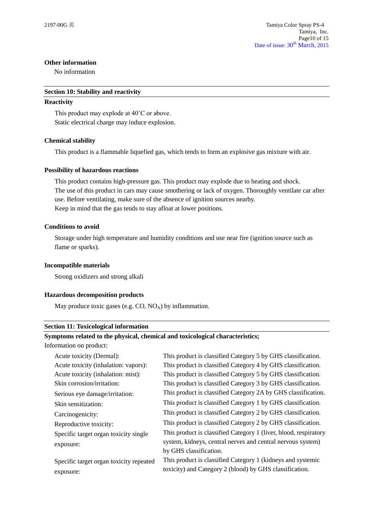## **Other information**

No information

### **Section 10: Stability and reactivity**

### **Reactivity**

This product may explode at 40˚C or above. Static electrical charge may induce explosion.

## **Chemical stability**

This product is a flammable liquefied gas, which tends to form an explosive gas mixture with air.

## **Possibility of hazardous reactions**

This product contains high-pressure gas. This product may explode due to heating and shock. The use of this product in cars may cause smothering or lack of oxygen. Thoroughly ventilate car after use. Before ventilating, make sure of the absence of ignition sources nearby. Keep in mind that the gas tends to stay afloat at lower positions.

## **Conditions to avoid**

Storage under high temperature and humidity conditions and use near fire (ignition source such as flame or sparks).

## **Incompatible materials**

Strong oxidizers and strong alkali

## **Hazardous decomposition products**

May produce toxic gases (e.g.  $CO$ ,  $NO_X$ ) by inflammation.

#### **Section 11: Toxicological information**

## **Symptoms related to the physical, chemical and toxicological characteristics;**

Information on product:

| Acute toxicity (Dermal):                | This product is classified Category 5 by GHS classification.     |
|-----------------------------------------|------------------------------------------------------------------|
| Acute toxicity (inhalation: vapors):    | This product is classified Category 4 by GHS classification.     |
| Acute toxicity (inhalation: mist):      | This product is classified Category 5 by GHS classification.     |
| Skin corrosion/irritation:              | This product is classified Category 3 by GHS classification.     |
| Serious eye damage/irritation:          | This product is classified Category 2A by GHS classification.    |
| Skin sensitization:                     | This product is classified Category 1 by GHS classification.     |
| Carcinogenicity:                        | This product is classified Category 2 by GHS classification.     |
| Reproductive toxicity:                  | This product is classified Category 2 by GHS classification.     |
| Specific target organ toxicity single   | This product is classified Category 1 (liver, blood, respiratory |
| exposure:                               | system, kidneys, central nerves and central nervous system)      |
|                                         | by GHS classification.                                           |
| Specific target organ toxicity repeated | This product is classified Category 1 (kidneys and systemic      |
| exposure:                               | toxicity) and Category 2 (blood) by GHS classification.          |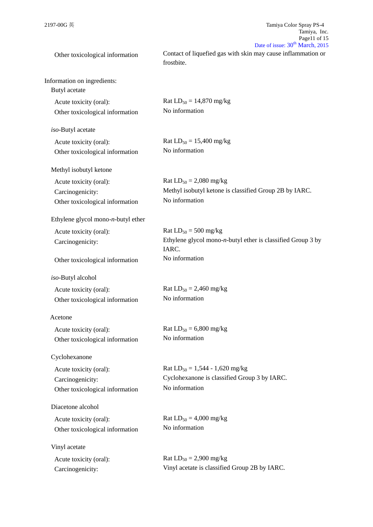| Other toxicological information                                               | Contact of liquefied gas with skin may cause inflammation or<br>frostbite.                              |
|-------------------------------------------------------------------------------|---------------------------------------------------------------------------------------------------------|
| Information on ingredients:<br>Butyl acetate                                  |                                                                                                         |
| Acute toxicity (oral):<br>Other toxicological information                     | Rat $LD_{50} = 14,870$ mg/kg<br>No information                                                          |
| iso-Butyl acetate                                                             |                                                                                                         |
| Acute toxicity (oral):<br>Other toxicological information                     | Rat $LD_{50} = 15,400$ mg/kg<br>No information                                                          |
| Methyl isobutyl ketone                                                        |                                                                                                         |
| Acute toxicity (oral):<br>Carcinogenicity:<br>Other toxicological information | Rat $LD_{50} = 2,080$ mg/kg<br>Methyl isobutyl ketone is classified Group 2B by IARC.<br>No information |
| Ethylene glycol mono- $n$ -butyl ether                                        |                                                                                                         |
| Acute toxicity (oral):<br>Carcinogenicity:                                    | Rat $LD_{50} = 500$ mg/kg<br>Ethylene glycol mono- $n$ -butyl ether is classified Group 3 by<br>IARC.   |
| Other toxicological information                                               | No information                                                                                          |
| iso-Butyl alcohol                                                             |                                                                                                         |
| Acute toxicity (oral):<br>Other toxicological information                     | Rat $LD_{50} = 2,460$ mg/kg<br>No information                                                           |
| Acetone                                                                       |                                                                                                         |
| Acute toxicity (oral):<br>Other toxicological information                     | Rat $LD_{50} = 6,800$ mg/kg<br>No information                                                           |
| Cyclohexanone                                                                 |                                                                                                         |
| Acute toxicity (oral):<br>Carcinogenicity:<br>Other toxicological information | Rat $LD_{50} = 1,544 - 1,620$ mg/kg<br>Cyclohexanone is classified Group 3 by IARC.<br>No information   |
| Diacetone alcohol                                                             |                                                                                                         |
| Acute toxicity (oral):<br>Other toxicological information                     | Rat $LD_{50} = 4,000$ mg/kg<br>No information                                                           |
| Vinyl acetate                                                                 |                                                                                                         |
| Acute toxicity (oral):<br>Carcinogenicity:                                    | Rat $LD_{50} = 2,900$ mg/kg<br>Vinyl acetate is classified Group 2B by IARC.                            |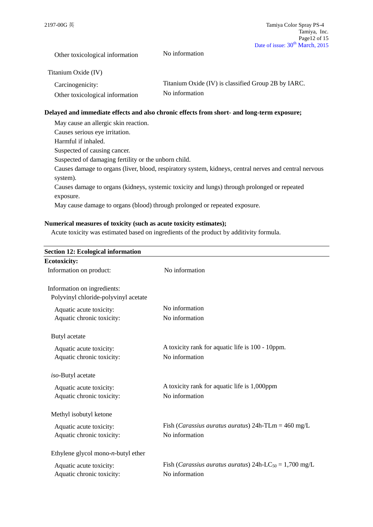Other toxicological information No information

Titanium Oxide (IV)

| Carcinogenicity:                | Titanium Oxide (IV) is classified Group 2B by IARC. |
|---------------------------------|-----------------------------------------------------|
| Other toxicological information | No information                                      |

## **Delayed and immediate effects and also chronic effects from short- and long-term exposure;**

| May cause an allergic skin reaction.                                                                   |
|--------------------------------------------------------------------------------------------------------|
| Causes serious eye irritation.                                                                         |
| Harmful if inhaled.                                                                                    |
| Suspected of causing cancer.                                                                           |
| Suspected of damaging fertility or the unborn child.                                                   |
| Causes damage to organs (liver, blood, respiratory system, kidneys, central nerves and central nervous |
| system).                                                                                               |
| Causes damage to organs (kidneys, systemic toxicity and lungs) through prolonged or repeated           |
| exposure.                                                                                              |
| May cause damage to organs (blood) through prolonged or repeated exposure.                             |

## **Numerical measures of toxicity (such as acute toxicity estimates);**

Acute toxicity was estimated based on ingredients of the product by additivity formula.

| <b>Section 12: Ecological information</b> |                                                                             |
|-------------------------------------------|-----------------------------------------------------------------------------|
| <b>Ecotoxicity:</b>                       |                                                                             |
| Information on product:                   | No information                                                              |
| Information on ingredients:               |                                                                             |
| Polyvinyl chloride-polyvinyl acetate      |                                                                             |
| Aquatic acute toxicity:                   | No information                                                              |
| Aquatic chronic toxicity:                 | No information                                                              |
| Butyl acetate                             |                                                                             |
| Aquatic acute toxicity:                   | A toxicity rank for aquatic life is 100 - 10ppm.                            |
| Aquatic chronic toxicity:                 | No information                                                              |
| iso-Butyl acetate                         |                                                                             |
| Aquatic acute toxicity:                   | A toxicity rank for aquatic life is 1,000ppm                                |
| Aquatic chronic toxicity:                 | No information                                                              |
| Methyl isobutyl ketone                    |                                                                             |
| Aquatic acute toxicity:                   | Fish ( <i>Carassius auratus auratus</i> ) $24h$ -TLm = $460 \text{ mg/L}$   |
| Aquatic chronic toxicity:                 | No information                                                              |
| Ethylene glycol mono- $n$ -butyl ether    |                                                                             |
| Aquatic acute toxicity:                   | Fish ( <i>Carassius auratus auratus</i> ) 24h-LC <sub>50</sub> = 1,700 mg/L |
| Aquatic chronic toxicity:                 | No information                                                              |
|                                           |                                                                             |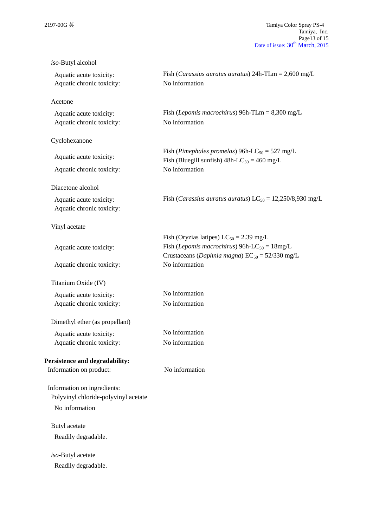| iso-Butyl alcohol                                    |                                                                                                                                                                            |
|------------------------------------------------------|----------------------------------------------------------------------------------------------------------------------------------------------------------------------------|
| Aquatic acute toxicity:<br>Aquatic chronic toxicity: | Fish ( <i>Carassius auratus auratus</i> ) $24h$ -TLm = $2,600$ mg/L<br>No information                                                                                      |
| Acetone                                              |                                                                                                                                                                            |
| Aquatic acute toxicity:<br>Aquatic chronic toxicity: | Fish ( <i>Lepomis macrochirus</i> ) 96h-TLm = $8,300$ mg/L<br>No information                                                                                               |
| Cyclohexanone                                        |                                                                                                                                                                            |
| Aquatic acute toxicity:                              | Fish (Pimephales promelas) 96h-LC <sub>50</sub> = 527 mg/L<br>Fish (Bluegill sunfish) $48h$ -LC <sub>50</sub> = 460 mg/L<br>No information                                 |
| Aquatic chronic toxicity:                            |                                                                                                                                                                            |
| Diacetone alcohol                                    |                                                                                                                                                                            |
| Aquatic acute toxicity:<br>Aquatic chronic toxicity: | Fish ( <i>Carassius auratus auratus</i> ) LC <sub>50</sub> = 12,250/8,930 mg/L                                                                                             |
| Vinyl acetate                                        |                                                                                                                                                                            |
| Aquatic acute toxicity:                              | Fish (Oryzias latipes) $LC_{50} = 2.39$ mg/L<br>Fish ( <i>Lepomis macrochirus</i> ) 96h-LC <sub>50</sub> = $18mg/L$<br>Crustaceans (Daphnia magna) $EC_{50} = 52/330$ mg/L |
| Aquatic chronic toxicity:                            | No information                                                                                                                                                             |
| Titanium Oxide (IV)                                  |                                                                                                                                                                            |
| Aquatic acute toxicity:                              | No information                                                                                                                                                             |
| Aquatic chronic toxicity:                            | No information                                                                                                                                                             |
| Dimethyl ether (as propellant)                       |                                                                                                                                                                            |
| Aquatic acute toxicity:                              | No information                                                                                                                                                             |
| Aquatic chronic toxicity:                            | No information                                                                                                                                                             |
| Persistence and degradability:                       |                                                                                                                                                                            |
| Information on product:                              | No information                                                                                                                                                             |
| Information on ingredients:                          |                                                                                                                                                                            |
| Polyvinyl chloride-polyvinyl acetate                 |                                                                                                                                                                            |
| No information                                       |                                                                                                                                                                            |
| Butyl acetate                                        |                                                                                                                                                                            |
| Readily degradable.                                  |                                                                                                                                                                            |
| iso-Butyl acetate                                    |                                                                                                                                                                            |
| Readily degradable.                                  |                                                                                                                                                                            |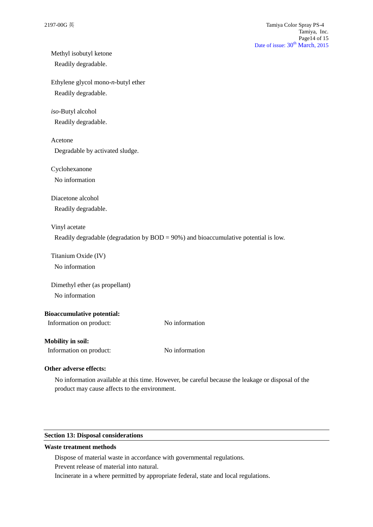# Methyl isobutyl ketone

Readily degradable.

Ethylene glycol mono-*n*-butyl ether Readily degradable.

## *iso*-Butyl alcohol

Readily degradable.

Acetone

Degradable by activated sludge.

Cyclohexanone

No information

Diacetone alcohol

Readily degradable.

## Vinyl acetate

Readily degradable (degradation by BOD = 90%) and bioaccumulative potential is low.

Titanium Oxide (IV)

No information

Dimethyl ether (as propellant) No information

## **Bioaccumulative potential:**

| Information on product: | No information |
|-------------------------|----------------|
|                         |                |

## **Mobility in soil:**

Information on product: No information

## **Other adverse effects:**

No information available at this time. However, be careful because the leakage or disposal of the product may cause affects to the environment.

## **Section 13: Disposal considerations**

#### **Waste treatment methods**

Dispose of material waste in accordance with governmental regulations.

Prevent release of material into natural.

Incinerate in a where permitted by appropriate federal, state and local regulations.